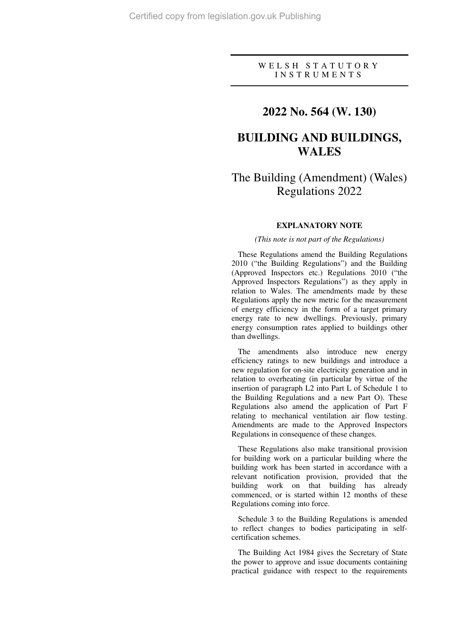### W E L S H S T A T U T O R Y I N S T R U M E N T S

## **2022 No. 564 (W. 130)**

# **BUILDING AND BUILDINGS, WALES**

# The Building (Amendment) (Wales) Regulations 2022

#### **EXPLANATORY NOTE**

#### *(This note is not part of the Regulations)*

These Regulations amend the Building Regulations 2010 ("the Building Regulations") and the Building (Approved Inspectors etc.) Regulations 2010 ("the Approved Inspectors Regulations") as they apply in relation to Wales. The amendments made by these Regulations apply the new metric for the measurement of energy efficiency in the form of a target primary energy rate to new dwellings. Previously, primary energy consumption rates applied to buildings other than dwellings.

The amendments also introduce new energy efficiency ratings to new buildings and introduce a new regulation for on-site electricity generation and in relation to overheating (in particular by virtue of the insertion of paragraph L2 into Part L of Schedule 1 to the Building Regulations and a new Part O). These Regulations also amend the application of Part F relating to mechanical ventilation air flow testing. Amendments are made to the Approved Inspectors Regulations in consequence of these changes.

These Regulations also make transitional provision for building work on a particular building where the building work has been started in accordance with a relevant notification provision, provided that the building work on that building has already commenced, or is started within 12 months of these Regulations coming into force.

Schedule 3 to the Building Regulations is amended to reflect changes to bodies participating in selfcertification schemes.

The Building Act 1984 gives the Secretary of State the power to approve and issue documents containing practical guidance with respect to the requirements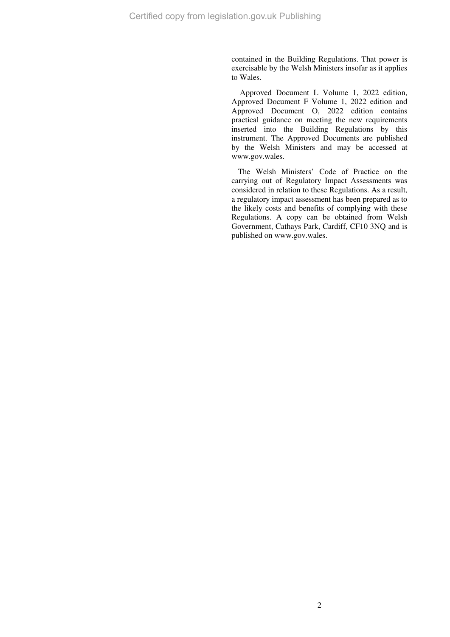contained in the Building Regulations. That power is exercisable by the Welsh Ministers insofar as it applies to Wales.

 Approved Document L Volume 1, 2022 edition, Approved Document F Volume 1, 2022 edition and Approved Document O, 2022 edition contains practical guidance on meeting the new requirements inserted into the Building Regulations by this instrument. The Approved Documents are published by the Welsh Ministers and may be accessed at www.gov.wales.

The Welsh Ministers' Code of Practice on the carrying out of Regulatory Impact Assessments was considered in relation to these Regulations. As a result, a regulatory impact assessment has been prepared as to the likely costs and benefits of complying with these Regulations. A copy can be obtained from Welsh Government, Cathays Park, Cardiff, CF10 3NQ and is published on www.gov.wales.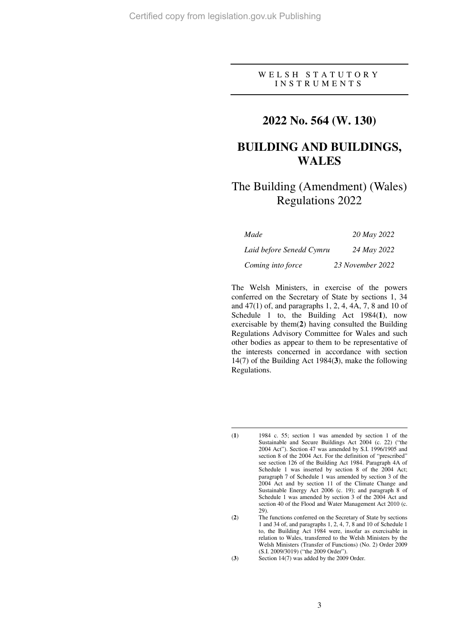$\overline{a}$ 

## W E L S H S T A T U T O R Y I N S T R U M E N T S

## **2022 No. 564 (W. 130)**

# **BUILDING AND BUILDINGS, WALES**

# The Building (Amendment) (Wales) Regulations 2022

| Made                     | 20 May 2022      |
|--------------------------|------------------|
| Laid before Senedd Cymru | 24 May 2022      |
| Coming into force        | 23 November 2022 |

The Welsh Ministers, in exercise of the powers conferred on the Secretary of State by sections 1, 34 and 47(1) of, and paragraphs 1, 2, 4, 4A, 7, 8 and 10 of Schedule 1 to, the Building Act 1984(**1**), now exercisable by them(**2**) having consulted the Building Regulations Advisory Committee for Wales and such other bodies as appear to them to be representative of the interests concerned in accordance with section 14(7) of the Building Act 1984(**3**), make the following Regulations.

(**3**) Section 14(7) was added by the 2009 Order.

<sup>(</sup>**1**) 1984 c. 55; section 1 was amended by section 1 of the Sustainable and Secure Buildings Act 2004 (c. 22) ("the 2004 Act"). Section 47 was amended by S.I. 1996/1905 and section 8 of the 2004 Act. For the definition of "prescribed" see section 126 of the Building Act 1984. Paragraph 4A of Schedule 1 was inserted by section 8 of the 2004 Act; paragraph 7 of Schedule 1 was amended by section 3 of the 2004 Act and by section 11 of the Climate Change and Sustainable Energy Act 2006 (c. 19); and paragraph 8 of Schedule 1 was amended by section 3 of the 2004 Act and section 40 of the Flood and Water Management Act 2010 (c. 29).

<sup>(</sup>**2**) The functions conferred on the Secretary of State by sections 1 and 34 of, and paragraphs 1, 2, 4, 7, 8 and 10 of Schedule 1 to, the Building Act 1984 were, insofar as exercisable in relation to Wales, transferred to the Welsh Ministers by the Welsh Ministers (Transfer of Functions) (No. 2) Order 2009 (S.I. 2009/3019) ("the 2009 Order").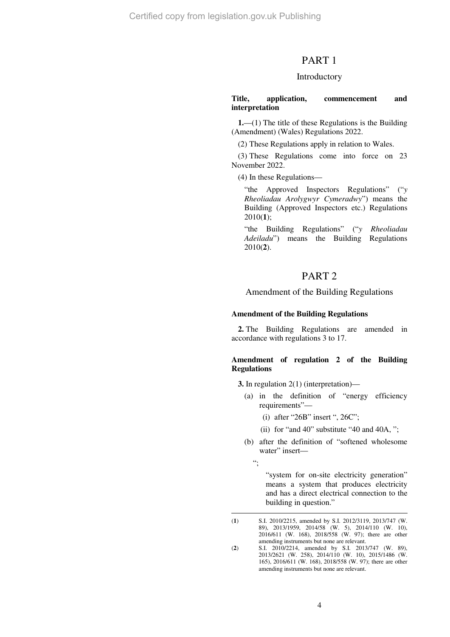Certified copy from legislation.gov.uk Publishing

## PART 1

#### Introductory

#### **Title, application, commencement and interpretation**

**1.**—(1) The title of these Regulations is the Building (Amendment) (Wales) Regulations 2022.

(2) These Regulations apply in relation to Wales.

(3) These Regulations come into force on 23 November 2022.

(4) In these Regulations—

"the Approved Inspectors Regulations" ("*y Rheoliadau Arolygwyr Cymeradwy*") means the Building (Approved Inspectors etc.) Regulations 2010(**1**);

"the Building Regulations" ("*y Rheoliadau Adeiladu*") means the Building Regulations 2010(**2**).

## PART 2

#### Amendment of the Building Regulations

#### **Amendment of the Building Regulations**

**2.** The Building Regulations are amended in accordance with regulations 3 to 17.

#### **Amendment of regulation 2 of the Building Regulations**

**3.** In regulation 2(1) (interpretation)—

- (a) in the definition of "energy efficiency requirements"—
	- (i) after "26B" insert ", 26C";
	- (ii) for "and 40" substitute "40 and 40A, ";
- (b) after the definition of "softened wholesome water" insert—

 $"$ 

 $\overline{a}$ 

"system for on-site electricity generation" means a system that produces electricity and has a direct electrical connection to the building in question."

<sup>(</sup>**1**) S.I. 2010/2215, amended by S.I. 2012/3119, 2013/747 (W. 89), 2013/1959, 2014/58 (W. 5), 2014/110 (W. 10), 2016/611 (W. 168), 2018/558 (W. 97); there are other amending instruments but none are relevant.

<sup>(</sup>**2**) S.I. 2010/2214, amended by S.I. 2013/747 (W. 89), 2013/2621 (W. 258), 2014/110 (W. 10), 2015/1486 (W. 165), 2016/611 (W. 168), 2018/558 (W. 97); there are other amending instruments but none are relevant.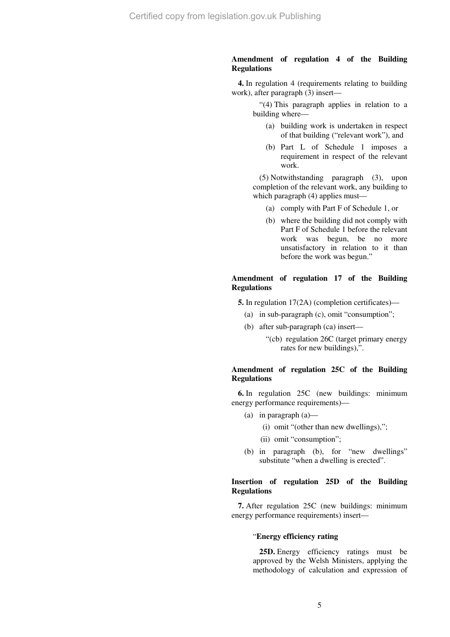### **Amendment of regulation 4 of the Building Regulations**

**4.** In regulation 4 (requirements relating to building work), after paragraph (3) insert—

> "(4) This paragraph applies in relation to a building where—

- (a) building work is undertaken in respect of that building ("relevant work"), and
- (b) Part L of Schedule 1 imposes a requirement in respect of the relevant work.

(5) Notwithstanding paragraph (3), upon completion of the relevant work, any building to which paragraph (4) applies must—

- (a) comply with Part F of Schedule 1, or
- (b) where the building did not comply with Part F of Schedule 1 before the relevant work was begun, be no more unsatisfactory in relation to it than before the work was begun."

#### **Amendment of regulation 17 of the Building Regulations**

**5.** In regulation  $17(2A)$  (completion certificates)—

- (a) in sub-paragraph (c), omit "consumption";
- (b) after sub-paragraph (ca) insert—
	- "(cb) regulation 26C (target primary energy rates for new buildings),".

#### **Amendment of regulation 25C of the Building Regulations**

**6.** In regulation 25C (new buildings: minimum energy performance requirements)—

- (a) in paragraph (a)—
	- (i) omit "(other than new dwellings),";
	- (ii) omit "consumption";
- (b) in paragraph (b), for "new dwellings" substitute "when a dwelling is erected".

#### **Insertion of regulation 25D of the Building Regulations**

**7.** After regulation 25C (new buildings: minimum energy performance requirements) insert—

#### "**Energy efficiency rating**

**25D.** Energy efficiency ratings must be approved by the Welsh Ministers, applying the methodology of calculation and expression of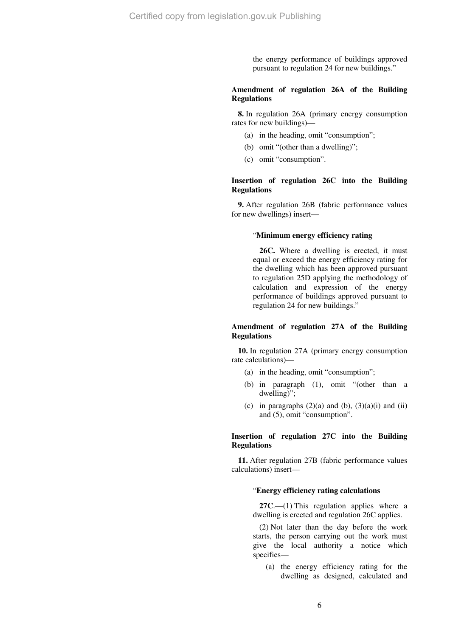the energy performance of buildings approved pursuant to regulation 24 for new buildings."

### **Amendment of regulation 26A of the Building Regulations**

**8.** In regulation 26A (primary energy consumption rates for new buildings)—

- (a) in the heading, omit "consumption";
- (b) omit "(other than a dwelling)";
- (c) omit "consumption".

#### **Insertion of regulation 26C into the Building Regulations**

**9.** After regulation 26B (fabric performance values for new dwellings) insert—

#### "**Minimum energy efficiency rating**

**26C.** Where a dwelling is erected, it must equal or exceed the energy efficiency rating for the dwelling which has been approved pursuant to regulation 25D applying the methodology of calculation and expression of the energy performance of buildings approved pursuant to regulation 24 for new buildings."

#### **Amendment of regulation 27A of the Building Regulations**

**10.** In regulation 27A (primary energy consumption rate calculations)—

- (a) in the heading, omit "consumption";
- (b) in paragraph (1), omit "(other than a dwelling)";
- (c) in paragraphs  $(2)(a)$  and  $(b)$ ,  $(3)(a)(i)$  and  $(ii)$ and (5), omit "consumption".

#### **Insertion of regulation 27C into the Building Regulations**

**11.** After regulation 27B (fabric performance values calculations) insert—

#### "**Energy efficiency rating calculations**

**27C**.—(1) This regulation applies where a dwelling is erected and regulation 26C applies.

(2) Not later than the day before the work starts, the person carrying out the work must give the local authority a notice which specifies—

(a) the energy efficiency rating for the dwelling as designed, calculated and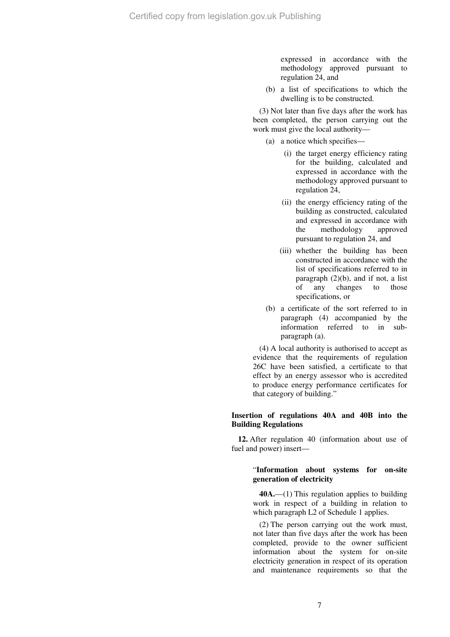expressed in accordance with the methodology approved pursuant to regulation 24, and

(b) a list of specifications to which the dwelling is to be constructed.

(3) Not later than five days after the work has been completed, the person carrying out the work must give the local authority—

- (a) a notice which specifies—
	- (i) the target energy efficiency rating for the building, calculated and expressed in accordance with the methodology approved pursuant to regulation 24,
	- (ii) the energy efficiency rating of the building as constructed, calculated and expressed in accordance with the methodology approved pursuant to regulation 24, and
	- (iii) whether the building has been constructed in accordance with the list of specifications referred to in paragraph  $(2)(b)$ , and if not, a list of any changes to those specifications, or
- (b) a certificate of the sort referred to in paragraph (4) accompanied by the information referred to in subparagraph (a).

(4) A local authority is authorised to accept as evidence that the requirements of regulation 26C have been satisfied, a certificate to that effect by an energy assessor who is accredited to produce energy performance certificates for that category of building."

#### **Insertion of regulations 40A and 40B into the Building Regulations**

**12.** After regulation 40 (information about use of fuel and power) insert—

### "**Information about systems for on-site generation of electricity**

**40A.**—(1) This regulation applies to building work in respect of a building in relation to which paragraph L2 of Schedule 1 applies.

(2) The person carrying out the work must, not later than five days after the work has been completed, provide to the owner sufficient information about the system for on-site electricity generation in respect of its operation and maintenance requirements so that the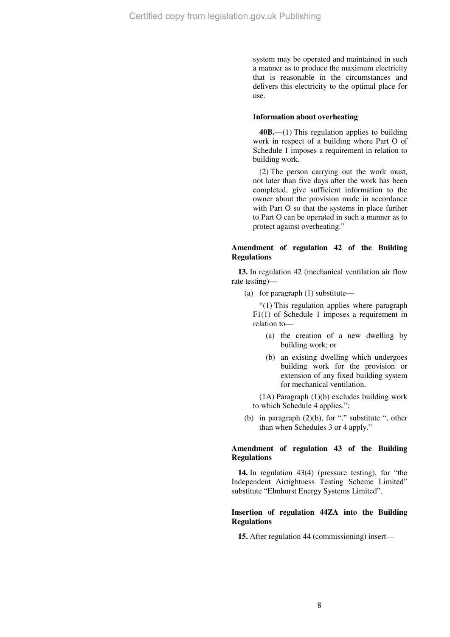system may be operated and maintained in such a manner as to produce the maximum electricity that is reasonable in the circumstances and delivers this electricity to the optimal place for use.

#### **Information about overheating**

**40B.**—(1) This regulation applies to building work in respect of a building where Part O of Schedule 1 imposes a requirement in relation to building work.

(2) The person carrying out the work must, not later than five days after the work has been completed, give sufficient information to the owner about the provision made in accordance with Part O so that the systems in place further to Part O can be operated in such a manner as to protect against overheating."

### **Amendment of regulation 42 of the Building Regulations**

**13.** In regulation 42 (mechanical ventilation air flow rate testing)—

(a) for paragraph (1) substitute—

"(1) This regulation applies where paragraph F1(1) of Schedule 1 imposes a requirement in relation to—

- (a) the creation of a new dwelling by building work; or
- (b) an existing dwelling which undergoes building work for the provision or extension of any fixed building system for mechanical ventilation.

(1A) Paragraph (1)(b) excludes building work to which Schedule 4 applies.";

(b) in paragraph  $(2)(b)$ , for "." substitute ", other than when Schedules 3 or 4 apply."

#### **Amendment of regulation 43 of the Building Regulations**

**14.** In regulation 43(4) (pressure testing), for "the Independent Airtightness Testing Scheme Limited" substitute "Elmhurst Energy Systems Limited".

#### **Insertion of regulation 44ZA into the Building Regulations**

**15.** After regulation 44 (commissioning) insert—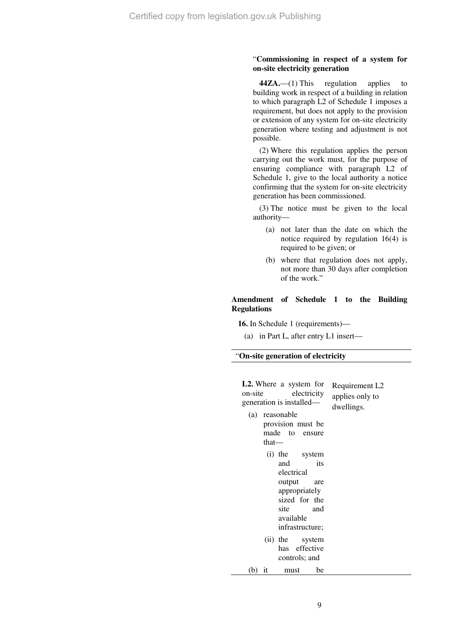#### "**Commissioning in respect of a system for on-site electricity generation**

**44ZA.**—(1) This regulation applies to building work in respect of a building in relation to which paragraph L2 of Schedule 1 imposes a requirement, but does not apply to the provision or extension of any system for on-site electricity generation where testing and adjustment is not possible.

(2) Where this regulation applies the person carrying out the work must, for the purpose of ensuring compliance with paragraph L2 of Schedule 1, give to the local authority a notice confirming that the system for on-site electricity generation has been commissioned.

(3) The notice must be given to the local authority—

- (a) not later than the date on which the notice required by regulation 16(4) is required to be given; or
- (b) where that regulation does not apply, not more than 30 days after completion of the work."

#### **Amendment of Schedule 1 to the Building Regulations**

**16.** In Schedule 1 (requirements)—

(a) in Part L, after entry L1 insert—

#### "**On-site generation of electricity**

| on-site<br>(a) | <b>L2.</b> Where a system for<br>electricity<br>generation is installed—<br>reasonable<br>provision must be<br>made to ensure<br>that-    | Requirement L <sub>2</sub><br>applies only to<br>dwellings. |
|----------------|-------------------------------------------------------------------------------------------------------------------------------------------|-------------------------------------------------------------|
|                | (i) the system<br>its<br>and<br>electrical<br>output<br>are<br>appropriately<br>sized for the<br>site and<br>available<br>infrastructure; |                                                             |
|                | (ii) the system<br>has effective<br>controls; and                                                                                         |                                                             |
| (b)            | be<br>it<br>must                                                                                                                          |                                                             |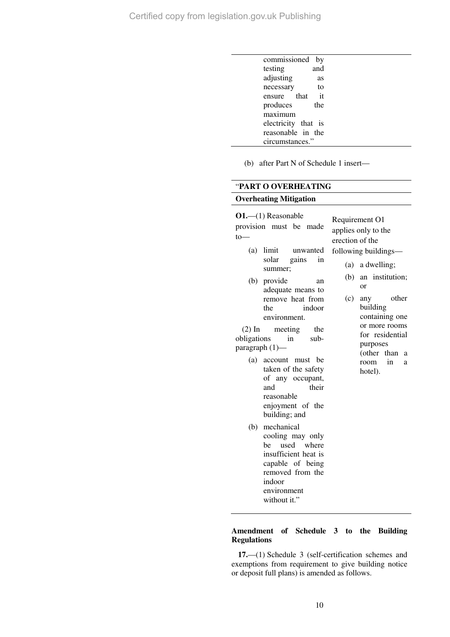| commissioned by     |     |  |
|---------------------|-----|--|
| testing             | and |  |
| adjusting           | as  |  |
| necessary           | to  |  |
| ensure that         | it  |  |
| produces            | the |  |
| maximum             |     |  |
| electricity that is |     |  |
| reasonable in the   |     |  |
| circumstances."     |     |  |

(b) after Part N of Schedule 1 insert—

## "**PART O OVERHEATING**

## **Overheating Mitigation**

**O1.**—(1) Reasonable provision must be made  $to$ —

- (a) limit unwanted solar gains in summer;
- (b) provide an adequate means to remove heat from the indoor environment.

(2) In meeting the obligations in subparagraph (1)—

- (a) account must be taken of the safety of any occupant, and their reasonable enjoyment of the building; and
- (b) mechanical cooling may only be used where insufficient heat is capable of being removed from the indoor environment without it."

Requirement O1 applies only to the erection of the following buildings—

- (a) a dwelling;
- (b) an institution; or
- (c) any other building containing one or more rooms for residential purposes (other than a room in a hotel).

#### **Amendment of Schedule 3 to the Building Regulations**

**17.**—(1) Schedule 3 (self-certification schemes and exemptions from requirement to give building notice or deposit full plans) is amended as follows.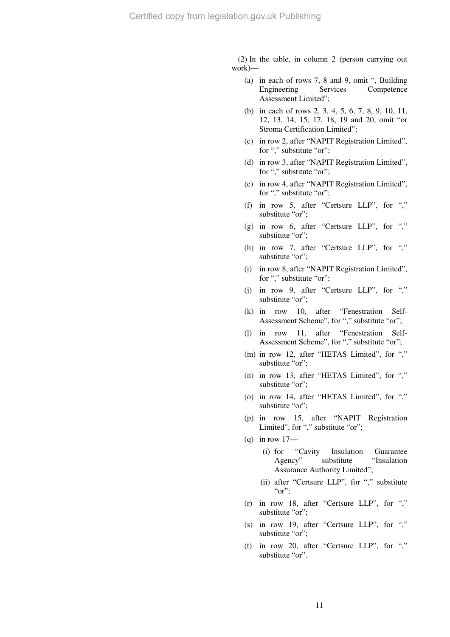(2) In the table, in column 2 (person carrying out work)—

- (a) in each of rows 7, 8 and 9, omit ", Building Engineering Services Competence Assessment Limited";
- (b) in each of rows 2, 3, 4, 5, 6, 7, 8, 9, 10, 11, 12, 13, 14, 15, 17, 18, 19 and 20, omit "or Stroma Certification Limited";
- (c) in row 2, after "NAPIT Registration Limited", for "," substitute "or";
- (d) in row 3, after "NAPIT Registration Limited", for "," substitute "or";
- (e) in row 4, after "NAPIT Registration Limited", for "," substitute "or";
- (f) in row 5, after "Certsure LLP", for "," substitute "or":
- (g) in row 6, after "Certsure LLP", for "," substitute "or";
- (h) in row 7, after "Certsure LLP", for "," substitute "or":
- (i) in row 8, after "NAPIT Registration Limited", for "," substitute "or";
- (j) in row 9, after "Certsure LLP", for "," substitute "or":
- (k) in row 10, after "Fenestration Self-Assessment Scheme", for "," substitute "or";
- (l) in row 11, after "Fenestration Self-Assessment Scheme", for "," substitute "or";
- (m) in row 12, after "HETAS Limited", for "," substitute "or";
- (n) in row 13, after "HETAS Limited", for "," substitute "or";
- (o) in row 14, after "HETAS Limited", for "," substitute "or";
- (p) in row 15, after "NAPIT Registration Limited", for "," substitute "or";
- $(q)$  in row 17—
	- (i) for "Cavity Insulation Guarantee Agency" substitute "Insulation Assurance Authority Limited";
	- (ii) after "Certsure LLP", for "," substitute " $or$ ":
- (r) in row 18, after "Certsure LLP", for "," substitute "or";
- (s) in row 19, after "Certsure LLP", for "," substitute "or";
- (t) in row 20, after "Certsure LLP", for "," substitute "or".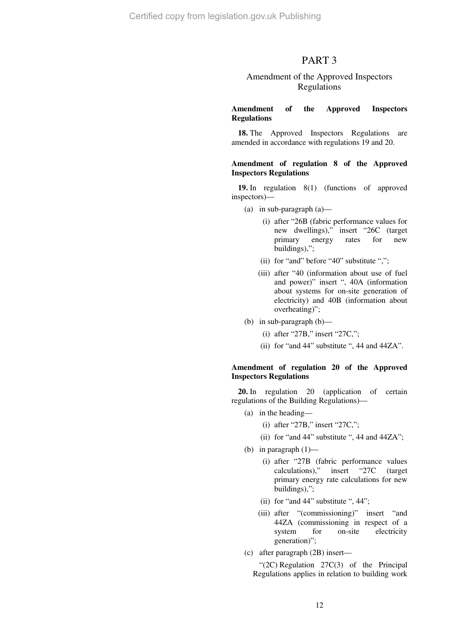## PART 3

## Amendment of the Approved Inspectors Regulations

#### **Amendment of the Approved Inspectors Regulations**

**18.** The Approved Inspectors Regulations are amended in accordance with regulations 19 and 20.

#### **Amendment of regulation 8 of the Approved Inspectors Regulations**

**19.** In regulation 8(1) (functions of approved inspectors)—

- (a) in sub-paragraph (a)—
	- (i) after "26B (fabric performance values for new dwellings)," insert "26C (target primary energy rates for new buildings),";
	- (ii) for "and" before "40" substitute ",";
	- (iii) after "40 (information about use of fuel and power)" insert ", 40A (information about systems for on-site generation of electricity) and 40B (information about overheating)";
- (b) in sub-paragraph (b)—
	- (i) after "27B," insert "27C,";
	- (ii) for "and 44" substitute ", 44 and 44ZA".

#### **Amendment of regulation 20 of the Approved Inspectors Regulations**

**20.** In regulation 20 (application of certain regulations of the Building Regulations)—

- (a) in the heading—
	- (i) after "27B," insert "27C,";
	- (ii) for "and 44" substitute ", 44 and 44ZA";
- (b) in paragraph  $(1)$ 
	- (i) after "27B (fabric performance values calculations)," insert "27C (target primary energy rate calculations for new buildings),";
	- (ii) for "and 44" substitute ", 44";
	- (iii) after "(commissioning)" insert "and 44ZA (commissioning in respect of a system for on-site electricity generation)";
- (c) after paragraph (2B) insert—

"(2C) Regulation 27C(3) of the Principal Regulations applies in relation to building work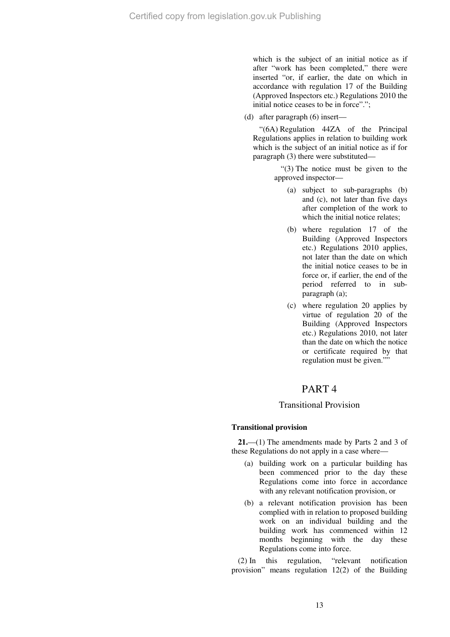which is the subject of an initial notice as if after "work has been completed," there were inserted "or, if earlier, the date on which in accordance with regulation 17 of the Building (Approved Inspectors etc.) Regulations 2010 the initial notice ceases to be in force".";

(d) after paragraph (6) insert—

"(6A) Regulation 44ZA of the Principal Regulations applies in relation to building work which is the subject of an initial notice as if for paragraph (3) there were substituted—

> "(3) The notice must be given to the approved inspector—

- (a) subject to sub-paragraphs (b) and (c), not later than five days after completion of the work to which the initial notice relates;
- (b) where regulation 17 of the Building (Approved Inspectors etc.) Regulations 2010 applies, not later than the date on which the initial notice ceases to be in force or, if earlier, the end of the period referred to in subparagraph (a);
- (c) where regulation 20 applies by virtue of regulation 20 of the Building (Approved Inspectors etc.) Regulations 2010, not later than the date on which the notice or certificate required by that regulation must be given.""

## PART 4

### Transitional Provision

### **Transitional provision**

**21.**—(1) The amendments made by Parts 2 and 3 of these Regulations do not apply in a case where—

- (a) building work on a particular building has been commenced prior to the day these Regulations come into force in accordance with any relevant notification provision, or
- (b) a relevant notification provision has been complied with in relation to proposed building work on an individual building and the building work has commenced within 12 months beginning with the day these Regulations come into force.

(2) In this regulation, "relevant notification provision" means regulation 12(2) of the Building